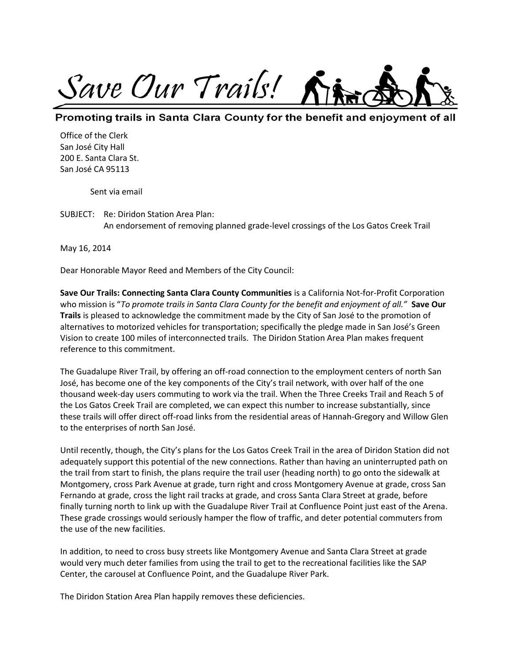

## Promoting trails in Santa Clara County for the benefit and enjoyment of all

Office of the Clerk San José City Hall 200 E. Santa Clara St. San José CA 95113

Sent via email

SUBJECT: Re: Diridon Station Area Plan: An endorsement of removing planned grade-level crossings of the Los Gatos Creek Trail

May 16, 2014

Dear Honorable Mayor Reed and Members of the City Council:

**Save Our Trails: Connecting Santa Clara County Communities** is a California Not-for-Profit Corporation who mission is "*To promote trails in Santa Clara County for the benefit and enjoyment of all."* **Save Our Trails** is pleased to acknowledge the commitment made by the City of San José to the promotion of alternatives to motorized vehicles for transportation; specifically the pledge made in San José's Green Vision to create 100 miles of interconnected trails. The Diridon Station Area Plan makes frequent reference to this commitment.

The Guadalupe River Trail, by offering an off-road connection to the employment centers of north San José, has become one of the key components of the City's trail network, with over half of the one thousand week-day users commuting to work via the trail. When the Three Creeks Trail and Reach 5 of the Los Gatos Creek Trail are completed, we can expect this number to increase substantially, since these trails will offer direct off-road links from the residential areas of Hannah-Gregory and Willow Glen to the enterprises of north San José.

Until recently, though, the City's plans for the Los Gatos Creek Trail in the area of Diridon Station did not adequately support this potential of the new connections. Rather than having an uninterrupted path on the trail from start to finish, the plans require the trail user (heading north) to go onto the sidewalk at Montgomery, cross Park Avenue at grade, turn right and cross Montgomery Avenue at grade, cross San Fernando at grade, cross the light rail tracks at grade, and cross Santa Clara Street at grade, before finally turning north to link up with the Guadalupe River Trail at Confluence Point just east of the Arena. These grade crossings would seriously hamper the flow of traffic, and deter potential commuters from the use of the new facilities.

In addition, to need to cross busy streets like Montgomery Avenue and Santa Clara Street at grade would very much deter families from using the trail to get to the recreational facilities like the SAP Center, the carousel at Confluence Point, and the Guadalupe River Park.

The Diridon Station Area Plan happily removes these deficiencies.